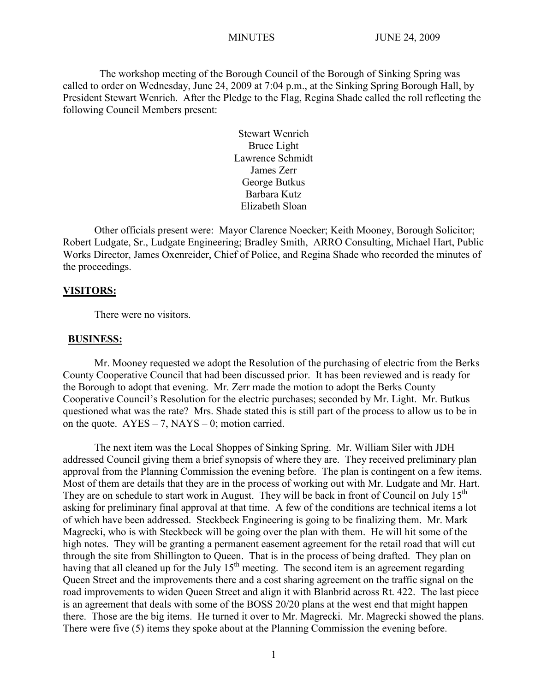The workshop meeting of the Borough Council of the Borough of Sinking Spring was called to order on Wednesday, June 24, 2009 at 7:04 p.m., at the Sinking Spring Borough Hall, by President Stewart Wenrich. After the Pledge to the Flag, Regina Shade called the roll reflecting the following Council Members present:

> Stewart Wenrich Bruce Light Lawrence Schmidt James Zerr George Butkus Barbara Kutz Elizabeth Sloan

Other officials present were: Mayor Clarence Noecker; Keith Mooney, Borough Solicitor; Robert Ludgate, Sr., Ludgate Engineering; Bradley Smith, ARRO Consulting, Michael Hart, Public Works Director, James Oxenreider, Chief of Police, and Regina Shade who recorded the minutes of the proceedings.

#### **VISITORS:**

There were no visitors.

#### **BUSINESS:**

Mr. Mooney requested we adopt the Resolution of the purchasing of electric from the Berks County Cooperative Council that had been discussed prior. It has been reviewed and is ready for the Borough to adopt that evening. Mr. Zerr made the motion to adopt the Berks County Cooperative Council's Resolution for the electric purchases; seconded by Mr. Light. Mr. Butkus questioned what was the rate? Mrs. Shade stated this is still part of the process to allow us to be in on the quote.  $AYES - 7$ ,  $NAYS - 0$ ; motion carried.

The next item was the Local Shoppes of Sinking Spring. Mr. William Siler with JDH addressed Council giving them a brief synopsis of where they are. They received preliminary plan approval from the Planning Commission the evening before. The plan is contingent on a few items. Most of them are details that they are in the process of working out with Mr. Ludgate and Mr. Hart. They are on schedule to start work in August. They will be back in front of Council on July  $15<sup>th</sup>$ asking for preliminary final approval at that time. A few of the conditions are technical items a lot of which have been addressed. Steckbeck Engineering is going to be finalizing them. Mr. Mark Magrecki, who is with Steckbeck will be going over the plan with them. He will hit some of the high notes. They will be granting a permanent easement agreement for the retail road that will cut through the site from Shillington to Queen. That is in the process of being drafted. They plan on having that all cleaned up for the July  $15<sup>th</sup>$  meeting. The second item is an agreement regarding Queen Street and the improvements there and a cost sharing agreement on the traffic signal on the road improvements to widen Queen Street and align it with Blanbrid across Rt. 422. The last piece is an agreement that deals with some of the BOSS 20/20 plans at the west end that might happen there. Those are the big items. He turned it over to Mr. Magrecki. Mr. Magrecki showed the plans. There were five (5) items they spoke about at the Planning Commission the evening before.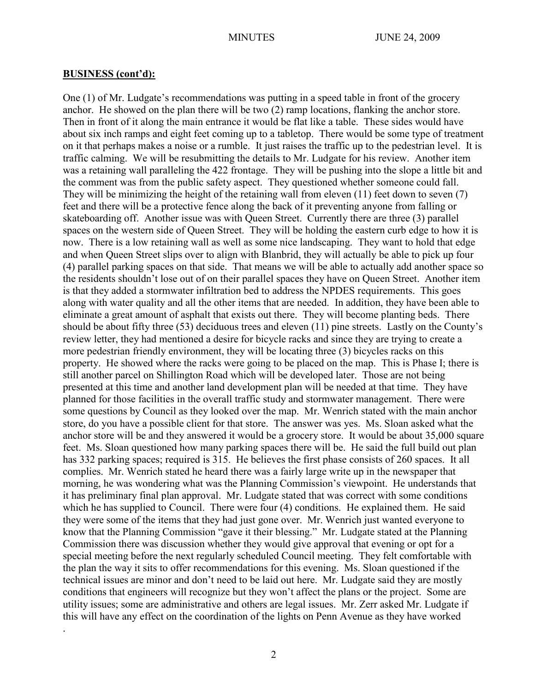#### **BUSINESS (cont'd):**

.

One (1) of Mr. Ludgate's recommendations was putting in a speed table in front of the grocery anchor. He showed on the plan there will be two (2) ramp locations, flanking the anchor store. Then in front of it along the main entrance it would be flat like a table. These sides would have about six inch ramps and eight feet coming up to a tabletop. There would be some type of treatment on it that perhaps makes a noise or a rumble. It just raises the traffic up to the pedestrian level. It is traffic calming. We will be resubmitting the details to Mr. Ludgate for his review. Another item was a retaining wall paralleling the 422 frontage. They will be pushing into the slope a little bit and the comment was from the public safety aspect. They questioned whether someone could fall. They will be minimizing the height of the retaining wall from eleven (11) feet down to seven (7) feet and there will be a protective fence along the back of it preventing anyone from falling or skateboarding off. Another issue was with Queen Street. Currently there are three (3) parallel spaces on the western side of Queen Street. They will be holding the eastern curb edge to how it is now. There is a low retaining wall as well as some nice landscaping. They want to hold that edge and when Queen Street slips over to align with Blanbrid, they will actually be able to pick up four (4) parallel parking spaces on that side. That means we will be able to actually add another space so the residents shouldn't lose out of on their parallel spaces they have on Queen Street. Another item is that they added a stormwater infiltration bed to address the NPDES requirements. This goes along with water quality and all the other items that are needed. In addition, they have been able to eliminate a great amount of asphalt that exists out there. They will become planting beds. There should be about fifty three (53) deciduous trees and eleven (11) pine streets. Lastly on the County's review letter, they had mentioned a desire for bicycle racks and since they are trying to create a more pedestrian friendly environment, they will be locating three (3) bicycles racks on this property. He showed where the racks were going to be placed on the map. This is Phase I; there is still another parcel on Shillington Road which will be developed later. Those are not being presented at this time and another land development plan will be needed at that time. They have planned for those facilities in the overall traffic study and stormwater management. There were some questions by Council as they looked over the map. Mr. Wenrich stated with the main anchor store, do you have a possible client for that store. The answer was yes. Ms. Sloan asked what the anchor store will be and they answered it would be a grocery store. It would be about 35,000 square feet. Ms. Sloan questioned how many parking spaces there will be. He said the full build out plan has 332 parking spaces; required is 315. He believes the first phase consists of 260 spaces. It all complies. Mr. Wenrich stated he heard there was a fairly large write up in the newspaper that morning, he was wondering what was the Planning Commission's viewpoint. He understands that it has preliminary final plan approval. Mr. Ludgate stated that was correct with some conditions which he has supplied to Council. There were four (4) conditions. He explained them. He said they were some of the items that they had just gone over. Mr. Wenrich just wanted everyone to know that the Planning Commission "gave it their blessing." Mr. Ludgate stated at the Planning Commission there was discussion whether they would give approval that evening or opt for a special meeting before the next regularly scheduled Council meeting. They felt comfortable with the plan the way it sits to offer recommendations for this evening. Ms. Sloan questioned if the technical issues are minor and don't need to be laid out here. Mr. Ludgate said they are mostly conditions that engineers will recognize but they won't affect the plans or the project. Some are utility issues; some are administrative and others are legal issues. Mr. Zerr asked Mr. Ludgate if this will have any effect on the coordination of the lights on Penn Avenue as they have worked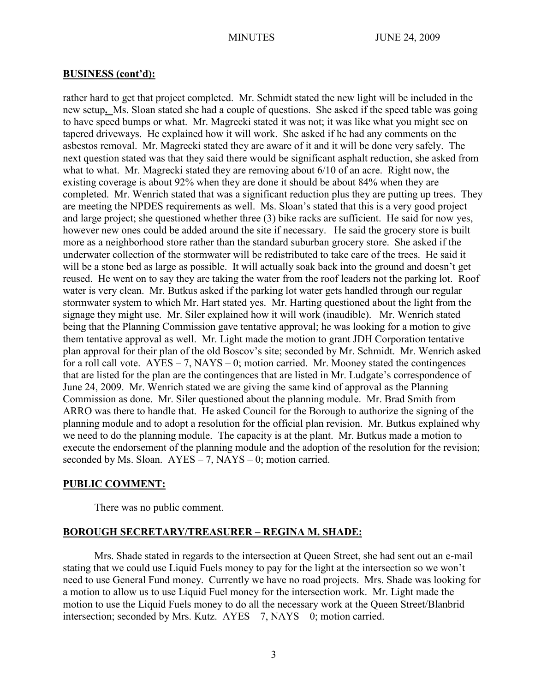#### **BUSINESS (cont'd):**

rather hard to get that project completed. Mr. Schmidt stated the new light will be included in the new setup**.** Ms. Sloan stated she had a couple of questions. She asked if the speed table was going to have speed bumps or what. Mr. Magrecki stated it was not; it was like what you might see on tapered driveways. He explained how it will work. She asked if he had any comments on the asbestos removal. Mr. Magrecki stated they are aware of it and it will be done very safely. The next question stated was that they said there would be significant asphalt reduction, she asked from what to what. Mr. Magrecki stated they are removing about 6/10 of an acre. Right now, the existing coverage is about 92% when they are done it should be about 84% when they are completed. Mr. Wenrich stated that was a significant reduction plus they are putting up trees. They are meeting the NPDES requirements as well. Ms. Sloan's stated that this is a very good project and large project; she questioned whether three (3) bike racks are sufficient. He said for now yes, however new ones could be added around the site if necessary. He said the grocery store is built more as a neighborhood store rather than the standard suburban grocery store. She asked if the underwater collection of the stormwater will be redistributed to take care of the trees. He said it will be a stone bed as large as possible. It will actually soak back into the ground and doesn't get reused. He went on to say they are taking the water from the roof leaders not the parking lot. Roof water is very clean. Mr. Butkus asked if the parking lot water gets handled through our regular stormwater system to which Mr. Hart stated yes. Mr. Harting questioned about the light from the signage they might use. Mr. Siler explained how it will work (inaudible). Mr. Wenrich stated being that the Planning Commission gave tentative approval; he was looking for a motion to give them tentative approval as well. Mr. Light made the motion to grant JDH Corporation tentative plan approval for their plan of the old Boscov's site; seconded by Mr. Schmidt. Mr. Wenrich asked for a roll call vote.  $AYES - 7$ ,  $NAYS - 0$ ; motion carried. Mr. Mooney stated the contingences that are listed for the plan are the contingences that are listed in Mr. Ludgate's correspondence of June 24, 2009. Mr. Wenrich stated we are giving the same kind of approval as the Planning Commission as done. Mr. Siler questioned about the planning module. Mr. Brad Smith from ARRO was there to handle that. He asked Council for the Borough to authorize the signing of the planning module and to adopt a resolution for the official plan revision. Mr. Butkus explained why we need to do the planning module. The capacity is at the plant. Mr. Butkus made a motion to execute the endorsement of the planning module and the adoption of the resolution for the revision; seconded by Ms. Sloan.  $AYES - 7$ ,  $NAYS - 0$ ; motion carried.

### **PUBLIC COMMENT:**

There was no public comment.

### **BOROUGH SECRETARY/TREASURER – REGINA M. SHADE:**

Mrs. Shade stated in regards to the intersection at Queen Street, she had sent out an e-mail stating that we could use Liquid Fuels money to pay for the light at the intersection so we won't need to use General Fund money. Currently we have no road projects. Mrs. Shade was looking for a motion to allow us to use Liquid Fuel money for the intersection work. Mr. Light made the motion to use the Liquid Fuels money to do all the necessary work at the Queen Street/Blanbrid intersection; seconded by Mrs. Kutz. AYES – 7, NAYS – 0; motion carried.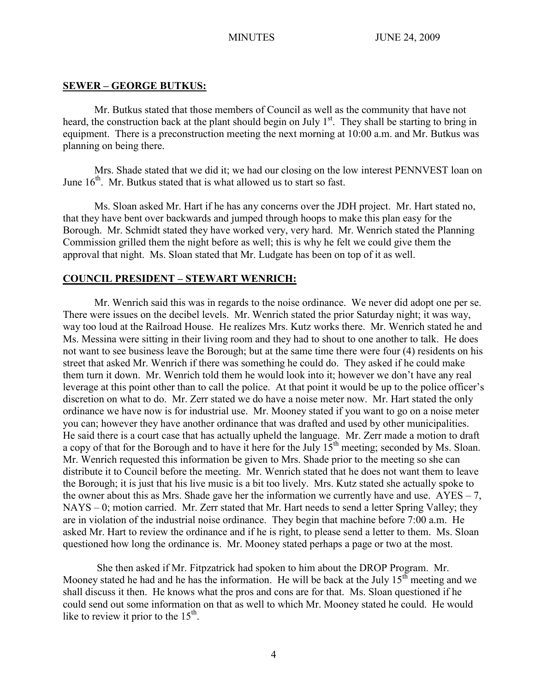# **SEWER – GEORGE BUTKUS:**

Mr. Butkus stated that those members of Council as well as the community that have not heard, the construction back at the plant should begin on July  $1<sup>st</sup>$ . They shall be starting to bring in equipment. There is a preconstruction meeting the next morning at 10:00 a.m. and Mr. Butkus was planning on being there.

Mrs. Shade stated that we did it; we had our closing on the low interest PENNVEST loan on June  $16<sup>th</sup>$ . Mr. Butkus stated that is what allowed us to start so fast.

Ms. Sloan asked Mr. Hart if he has any concerns over the JDH project. Mr. Hart stated no, that they have bent over backwards and jumped through hoops to make this plan easy for the Borough. Mr. Schmidt stated they have worked very, very hard. Mr. Wenrich stated the Planning Commission grilled them the night before as well; this is why he felt we could give them the approval that night. Ms. Sloan stated that Mr. Ludgate has been on top of it as well.

# **COUNCIL PRESIDENT – STEWART WENRICH:**

Mr. Wenrich said this was in regards to the noise ordinance. We never did adopt one per se. There were issues on the decibel levels. Mr. Wenrich stated the prior Saturday night; it was way, way too loud at the Railroad House. He realizes Mrs. Kutz works there. Mr. Wenrich stated he and Ms. Messina were sitting in their living room and they had to shout to one another to talk. He does not want to see business leave the Borough; but at the same time there were four (4) residents on his street that asked Mr. Wenrich if there was something he could do. They asked if he could make them turn it down. Mr. Wenrich told them he would look into it; however we don't have any real leverage at this point other than to call the police. At that point it would be up to the police officer's discretion on what to do. Mr. Zerr stated we do have a noise meter now. Mr. Hart stated the only ordinance we have now is for industrial use. Mr. Mooney stated if you want to go on a noise meter you can; however they have another ordinance that was drafted and used by other municipalities. He said there is a court case that has actually upheld the language. Mr. Zerr made a motion to draft a copy of that for the Borough and to have it here for the July  $15<sup>th</sup>$  meeting; seconded by Ms. Sloan. Mr. Wenrich requested this information be given to Mrs. Shade prior to the meeting so she can distribute it to Council before the meeting. Mr. Wenrich stated that he does not want them to leave the Borough; it is just that his live music is a bit too lively. Mrs. Kutz stated she actually spoke to the owner about this as Mrs. Shade gave her the information we currently have and use.  $AYES - 7$ , NAYS – 0; motion carried. Mr. Zerr stated that Mr. Hart needs to send a letter Spring Valley; they are in violation of the industrial noise ordinance. They begin that machine before 7:00 a.m. He asked Mr. Hart to review the ordinance and if he is right, to please send a letter to them. Ms. Sloan questioned how long the ordinance is. Mr. Mooney stated perhaps a page or two at the most.

She then asked if Mr. Fitpzatrick had spoken to him about the DROP Program. Mr. Mooney stated he had and he has the information. He will be back at the July  $15<sup>th</sup>$  meeting and we shall discuss it then. He knows what the pros and cons are for that. Ms. Sloan questioned if he could send out some information on that as well to which Mr. Mooney stated he could. He would like to review it prior to the  $15<sup>th</sup>$ .